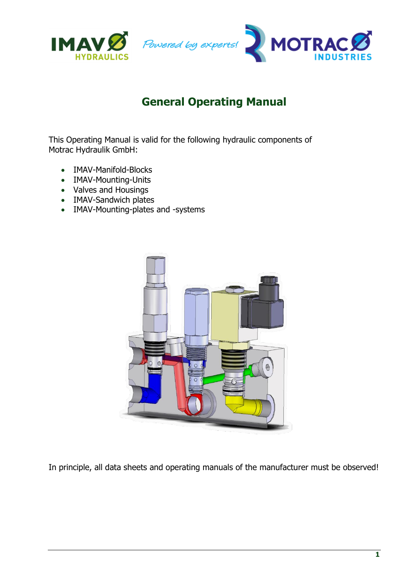

This Operating Manual is valid for the following hydraulic components of Motrac Hydraulik GmbH:

- IMAV-Manifold-Blocks
- IMAV-Mounting-Units
- Valves and Housings
- IMAV-Sandwich plates
- IMAV-Mounting-plates and -systems



In principle, all data sheets and operating manuals of the manufacturer must be observed!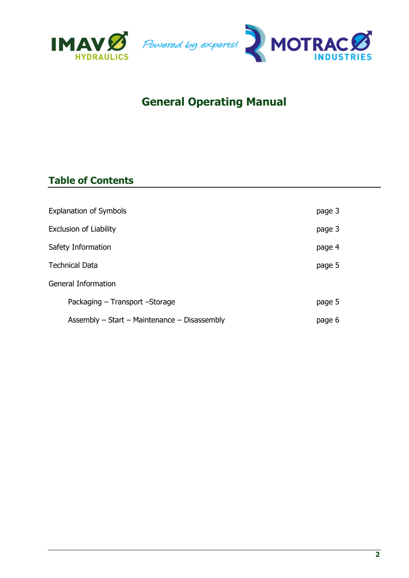



### **Table of Contents**

| <b>Explanation of Symbols</b> |                                              | page 3 |
|-------------------------------|----------------------------------------------|--------|
| <b>Exclusion of Liability</b> |                                              | page 3 |
| Safety Information            |                                              | page 4 |
| Technical Data                |                                              | page 5 |
| General Information           |                                              |        |
|                               | Packaging - Transport - Storage              | page 5 |
|                               | Assembly - Start - Maintenance - Disassembly | page 6 |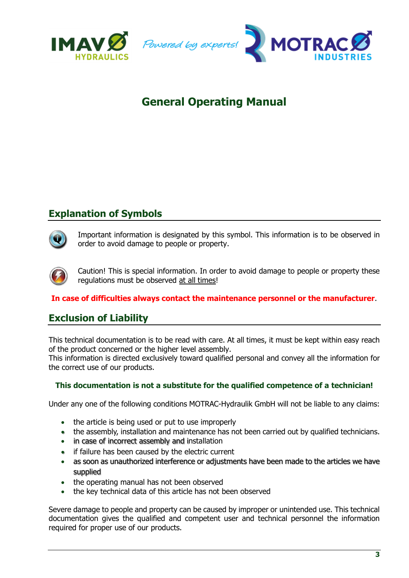



### **Explanation of Symbols**



Important information is designated by this symbol. This information is to be observed in order to avoid damage to people or property.

Caution! This is special information. In order to avoid damage to people or property these regulations must be observed at all times!

#### **In case of difficulties always contact the maintenance personnel or the manufacturer**.

#### **Exclusion of Liability**

This technical documentation is to be read with care. At all times, it must be kept within easy reach of the product concerned or the higher level assembly.

This information is directed exclusively toward qualified personal and convey all the information for the correct use of our products.

#### **This documentation is not a substitute for the qualified competence of a technician!**

Under any one of the following conditions MOTRAC-Hydraulik GmbH will not be liable to any claims:

- the article is being used or put to use improperly
- the assembly, installation and maintenance has not been carried out by qualified technicians.
- in case of incorrect assembly and installation
- if failure has been caused by the electric current
- as soon as unauthorized interference or adjustments have been made to the articles we have supplied
- the operating manual has not been observed
- the key technical data of this article has not been observed

Severe damage to people and property can be caused by improper or unintended use. This technical documentation gives the qualified and competent user and technical personnel the information required for proper use of our products.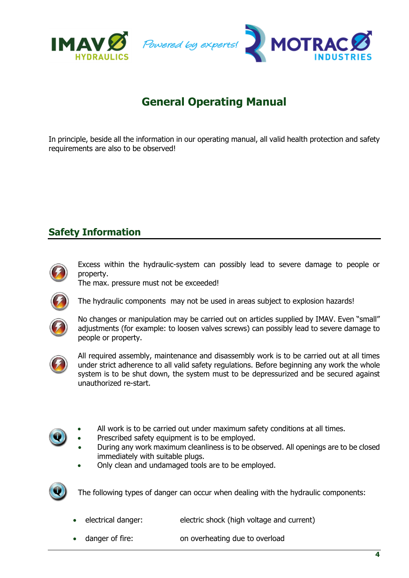

In principle, beside all the information in our operating manual, all valid health protection and safety requirements are also to be observed!

### **Safety Information**



Excess within the hydraulic-system can possibly lead to severe damage to people or property.

The max. pressure must not be exceeded!



The hydraulic components may not be used in areas subject to explosion hazards!



No changes or manipulation may be carried out on articles supplied by IMAV. Even "small" adjustments (for example: to loosen valves screws) can possibly lead to severe damage to people or property.



All required assembly, maintenance and disassembly work is to be carried out at all times under strict adherence to all valid safety regulations. Before beginning any work the whole system is to be shut down, the system must to be depressurized and be secured against unauthorized re-start.



- All work is to be carried out under maximum safety conditions at all times.
- Prescribed safety equipment is to be employed.
- During any work maximum cleanliness is to be observed. All openings are to be closed immediately with suitable plugs.
- Only clean and undamaged tools are to be employed.



The following types of danger can occur when dealing with the hydraulic components:

- electrical danger: electric shock (high voltage and current)
- danger of fire: on overheating due to overload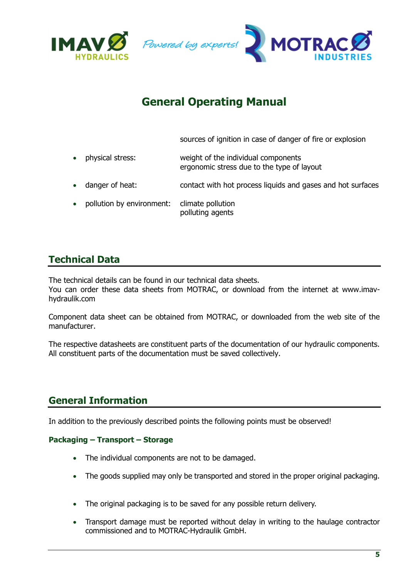



sources of ignition in case of danger of fire or explosion

- physical stress: weight of the individual components ergonomic stress due to the type of layout
- danger of heat: contact with hot process liquids and gases and hot surfaces
- pollution by environment: climate pollution polluting agents

### **Technical Data**

The technical details can be found in our technical data sheets.

You can order these data sheets from MOTRAC, or download from the internet at www.imavhydraulik.com

Component data sheet can be obtained from MOTRAC, or downloaded from the web site of the manufacturer.

The respective datasheets are constituent parts of the documentation of our hydraulic components. All constituent parts of the documentation must be saved collectively.

#### **General Information**

In addition to the previously described points the following points must be observed!

#### **Packaging – Transport – Storage**

- The individual components are not to be damaged.
- The goods supplied may only be transported and stored in the proper original packaging.
- The original packaging is to be saved for any possible return delivery.
- Transport damage must be reported without delay in writing to the haulage contractor commissioned and to MOTRAC-Hydraulik GmbH.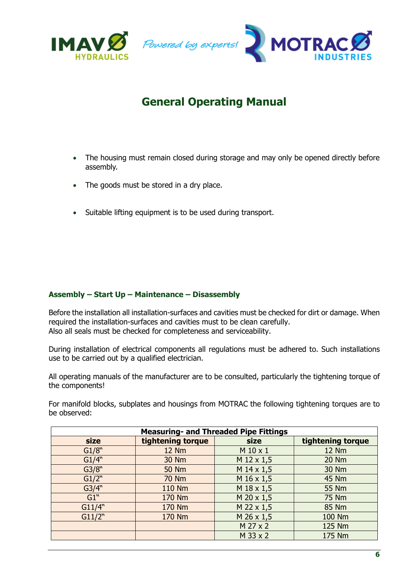

- The housing must remain closed during storage and may only be opened directly before assembly.
- The goods must be stored in a dry place.
- Suitable lifting equipment is to be used during transport.

#### **Assembly – Start Up – Maintenance – Disassembly**

Before the installation all installation-surfaces and cavities must be checked for dirt or damage. When required the installation-surfaces and cavities must to be clean carefully. Also all seals must be checked for completeness and serviceability.

During installation of electrical components all regulations must be adhered to. Such installations use to be carried out by a qualified electrician.

All operating manuals of the manufacturer are to be consulted, particularly the tightening torque of the components!

For manifold blocks, subplates and housings from MOTRAC the following tightening torques are to be observed:

| <b>Measuring- and Threaded Pipe Fittings</b> |                   |                     |                   |  |
|----------------------------------------------|-------------------|---------------------|-------------------|--|
| size                                         | tightening torque | size                | tightening torque |  |
| G1/8"                                        | <b>12 Nm</b>      | M 10 x 1            | <b>12 Nm</b>      |  |
| G1/4"                                        | 30 Nm             | M 12 x 1,5          | 20 Nm             |  |
| G3/8"                                        | <b>50 Nm</b>      | $M$ 14 x 1,5        | 30 Nm             |  |
| G1/2"                                        | <b>70 Nm</b>      | M 16 x 1,5          | 45 Nm             |  |
| G3/4"                                        | 110 Nm            | M 18 x 1,5          | 55 Nm             |  |
| $G1$ <sup>"</sup>                            | 170 Nm            | $M$ 20 $\times$ 1,5 | 75 Nm             |  |
| G11/4"                                       | 170 Nm            | M 22 x 1,5          | 85 Nm             |  |
| G11/2"                                       | 170 Nm            | M 26 x 1,5          | 100 Nm            |  |
|                                              |                   | M 27 x 2            | 125 Nm            |  |
|                                              |                   | M 33 x 2            | 175 Nm            |  |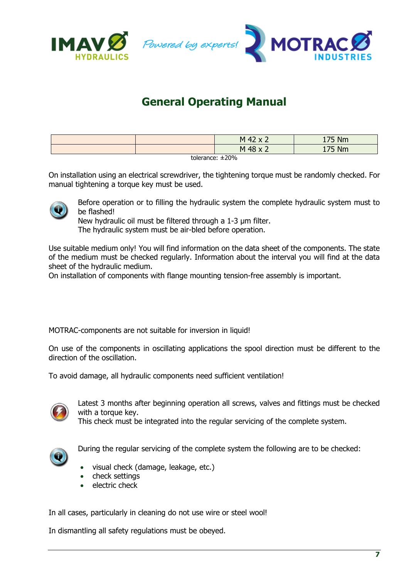



|                             |  | M 42<br>- | $75$ Nm<br>$-$ |  |
|-----------------------------|--|-----------|----------------|--|
|                             |  | M 48      | $75$ Nm        |  |
| $1 - 1 - 1 = 1 - 1 - 0 = 0$ |  |           |                |  |

tolerance: ±20%

On installation using an electrical screwdriver, the tightening torque must be randomly checked. For manual tightening a torque key must be used.



Before operation or to filling the hydraulic system the complete hydraulic system must to be flashed!

New hydraulic oil must be filtered through a 1-3 µm filter.

The hydraulic system must be air-bled before operation.

Use suitable medium only! You will find information on the data sheet of the components. The state of the medium must be checked regularly. Information about the interval you will find at the data sheet of the hydraulic medium.

On installation of components with flange mounting tension-free assembly is important.

MOTRAC-components are not suitable for inversion in liquid!

On use of the components in oscillating applications the spool direction must be different to the direction of the oscillation.

To avoid damage, all hydraulic components need sufficient ventilation!



Latest 3 months after beginning operation all screws, valves and fittings must be checked with a torque key.

This check must be integrated into the regular servicing of the complete system.



During the regular servicing of the complete system the following are to be checked:

- visual check (damage, leakage, etc.)
- check settings
- electric check

In all cases, particularly in cleaning do not use wire or steel wool!

In dismantling all safety regulations must be obeyed.